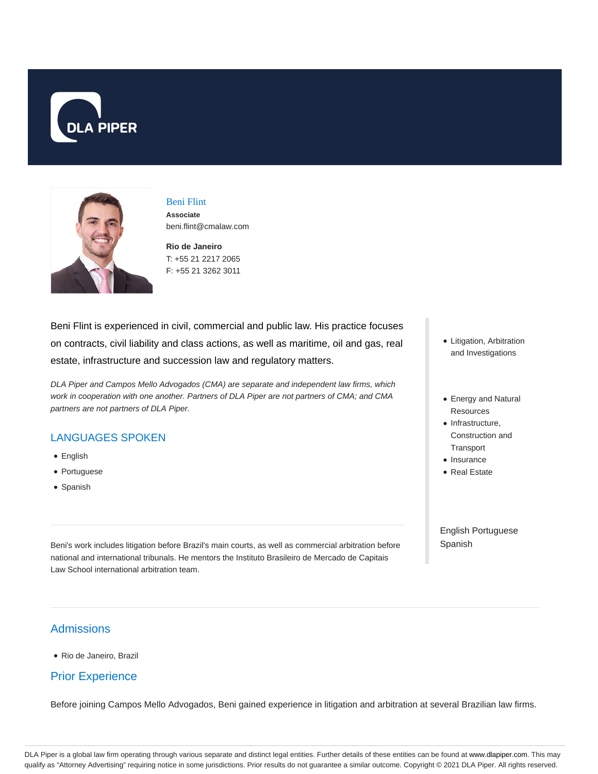



# Beni Flint

**Associate** beni.flint@cmalaw.com

**Rio de Janeiro** T: +55 21 2217 2065 F: +55 21 3262 3011

Beni Flint is experienced in civil, commercial and public law. His practice focuses on contracts, civil liability and class actions, as well as maritime, oil and gas, real estate, infrastructure and succession law and regulatory matters.

DLA Piper and Campos Mello Advogados (CMA) are separate and independent law firms, which work in cooperation with one another. Partners of DLA Piper are not partners of CMA; and CMA partners are not partners of DLA Piper.

#### LANGUAGES SPOKEN

- English
- Portuguese
- Spanish
- Litigation, Arbitration and Investigations
- Energy and Natural Resources
- Infrastructure, Construction and **Transport**
- Insurance
- Real Estate

English Portuguese Spanish

Beni's work includes litigation before Brazil's main courts, as well as commercial arbitration before national and international tribunals. He mentors the Instituto Brasileiro de Mercado de Capitais Law School international arbitration team.

#### **Admissions**

Rio de Janeiro, Brazil

#### Prior Experience

Before joining Campos Mello Advogados, Beni gained experience in litigation and arbitration at several Brazilian law firms.

DLA Piper is a global law firm operating through various separate and distinct legal entities. Further details of these entities can be found at www.dlapiper.com. This may qualify as "Attorney Advertising" requiring notice in some jurisdictions. Prior results do not guarantee a similar outcome. Copyright @ 2021 DLA Piper. All rights reserved.